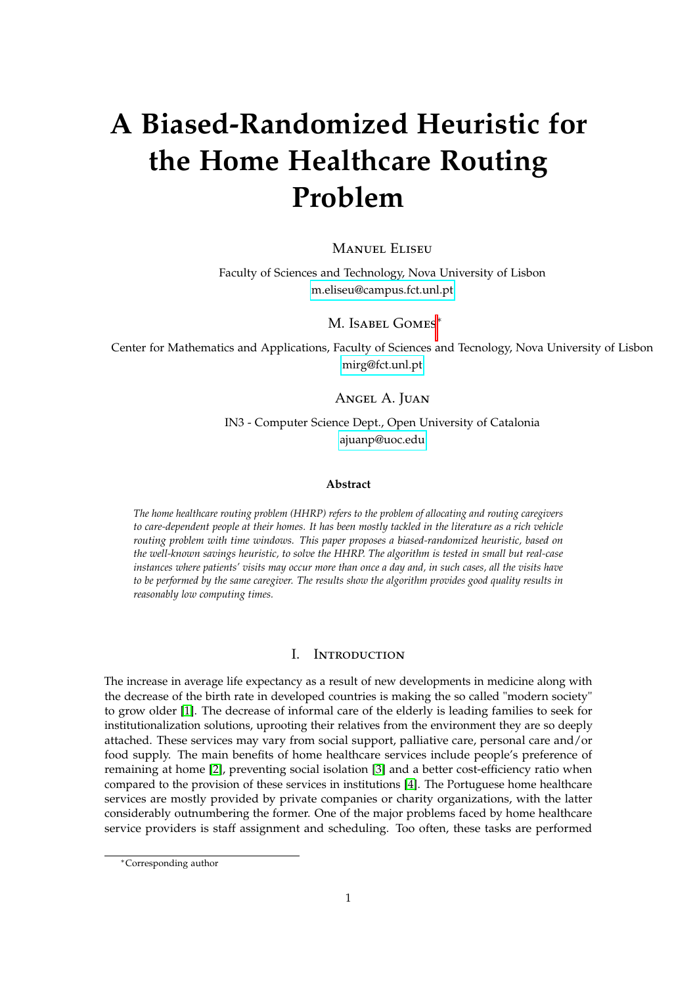# **A Biased-Randomized Heuristic for the Home Healthcare Routing Problem**

## **MANUEL ELISEU**

Faculty of Sciences and Technology, Nova University of Lisbon [m.eliseu@campus.fct.unl.pt](mailto:m.eliseu@campus.fct.unl.pt)

M. ISABEL GOMES<sup>\*</sup>

Center for Mathematics and Applications, Faculty of Sciences and Tecnology, Nova University of Lisbon [mirg@fct.unl.pt](mailto:mirg@fct.unl.pt)

Angel A. Juan

IN3 - Computer Science Dept., Open University of Catalonia [ajuanp@uoc.edu](mailto:ajuanp@uoc.edu)

#### **Abstract**

*The home healthcare routing problem (HHRP) refers to the problem of allocating and routing caregivers to care-dependent people at their homes. It has been mostly tackled in the literature as a rich vehicle routing problem with time windows. This paper proposes a biased-randomized heuristic, based on the well-known savings heuristic, to solve the HHRP. The algorithm is tested in small but real-case instances where patients' visits may occur more than once a day and, in such cases, all the visits have to be performed by the same caregiver. The results show the algorithm provides good quality results in reasonably low computing times.*

## I. Introduction

The increase in average life expectancy as a result of new developments in medicine along with the decrease of the birth rate in developed countries is making the so called "modern society" to grow older [\[1\]](#page-8-0). The decrease of informal care of the elderly is leading families to seek for institutionalization solutions, uprooting their relatives from the environment they are so deeply attached. These services may vary from social support, palliative care, personal care and/or food supply. The main benefits of home healthcare services include people's preference of remaining at home [\[2\]](#page-8-1), preventing social isolation [\[3\]](#page-8-2) and a better cost-efficiency ratio when compared to the provision of these services in institutions [\[4\]](#page-8-3). The Portuguese home healthcare services are mostly provided by private companies or charity organizations, with the latter considerably outnumbering the former. One of the major problems faced by home healthcare service providers is staff assignment and scheduling. Too often, these tasks are performed

<sup>∗</sup>Corresponding author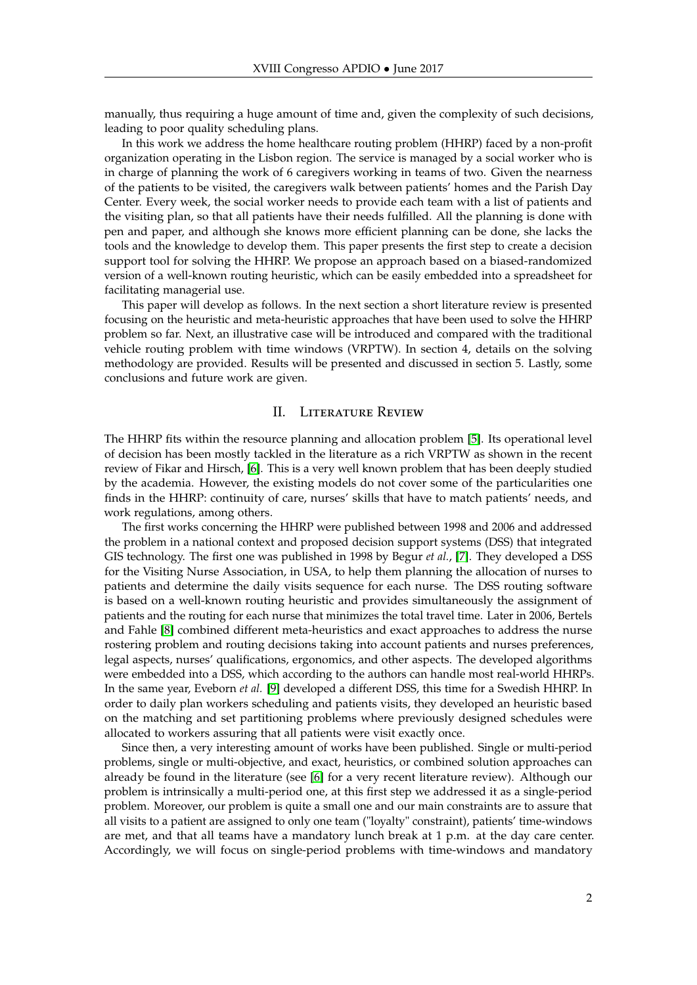manually, thus requiring a huge amount of time and, given the complexity of such decisions, leading to poor quality scheduling plans.

In this work we address the home healthcare routing problem (HHRP) faced by a non-profit organization operating in the Lisbon region. The service is managed by a social worker who is in charge of planning the work of 6 caregivers working in teams of two. Given the nearness of the patients to be visited, the caregivers walk between patients' homes and the Parish Day Center. Every week, the social worker needs to provide each team with a list of patients and the visiting plan, so that all patients have their needs fulfilled. All the planning is done with pen and paper, and although she knows more efficient planning can be done, she lacks the tools and the knowledge to develop them. This paper presents the first step to create a decision support tool for solving the HHRP. We propose an approach based on a biased-randomized version of a well-known routing heuristic, which can be easily embedded into a spreadsheet for facilitating managerial use.

This paper will develop as follows. In the next section a short literature review is presented focusing on the heuristic and meta-heuristic approaches that have been used to solve the HHRP problem so far. Next, an illustrative case will be introduced and compared with the traditional vehicle routing problem with time windows (VRPTW). In section 4, details on the solving methodology are provided. Results will be presented and discussed in section 5. Lastly, some conclusions and future work are given.

## II. Literature Review

The HHRP fits within the resource planning and allocation problem [\[5\]](#page-8-4). Its operational level of decision has been mostly tackled in the literature as a rich VRPTW as shown in the recent review of Fikar and Hirsch, [\[6\]](#page-8-5). This is a very well known problem that has been deeply studied by the academia. However, the existing models do not cover some of the particularities one finds in the HHRP: continuity of care, nurses' skills that have to match patients' needs, and work regulations, among others.

The first works concerning the HHRP were published between 1998 and 2006 and addressed the problem in a national context and proposed decision support systems (DSS) that integrated GIS technology. The first one was published in 1998 by Begur *et al.*, [\[7\]](#page-8-6). They developed a DSS for the Visiting Nurse Association, in USA, to help them planning the allocation of nurses to patients and determine the daily visits sequence for each nurse. The DSS routing software is based on a well-known routing heuristic and provides simultaneously the assignment of patients and the routing for each nurse that minimizes the total travel time. Later in 2006, Bertels and Fahle [\[8\]](#page-8-7) combined different meta-heuristics and exact approaches to address the nurse rostering problem and routing decisions taking into account patients and nurses preferences, legal aspects, nurses' qualifications, ergonomics, and other aspects. The developed algorithms were embedded into a DSS, which according to the authors can handle most real-world HHRPs. In the same year, Eveborn *et al.* [\[9\]](#page-8-8) developed a different DSS, this time for a Swedish HHRP. In order to daily plan workers scheduling and patients visits, they developed an heuristic based on the matching and set partitioning problems where previously designed schedules were allocated to workers assuring that all patients were visit exactly once.

Since then, a very interesting amount of works have been published. Single or multi-period problems, single or multi-objective, and exact, heuristics, or combined solution approaches can already be found in the literature (see [\[6\]](#page-8-5) for a very recent literature review). Although our problem is intrinsically a multi-period one, at this first step we addressed it as a single-period problem. Moreover, our problem is quite a small one and our main constraints are to assure that all visits to a patient are assigned to only one team ("loyalty" constraint), patients' time-windows are met, and that all teams have a mandatory lunch break at 1 p.m. at the day care center. Accordingly, we will focus on single-period problems with time-windows and mandatory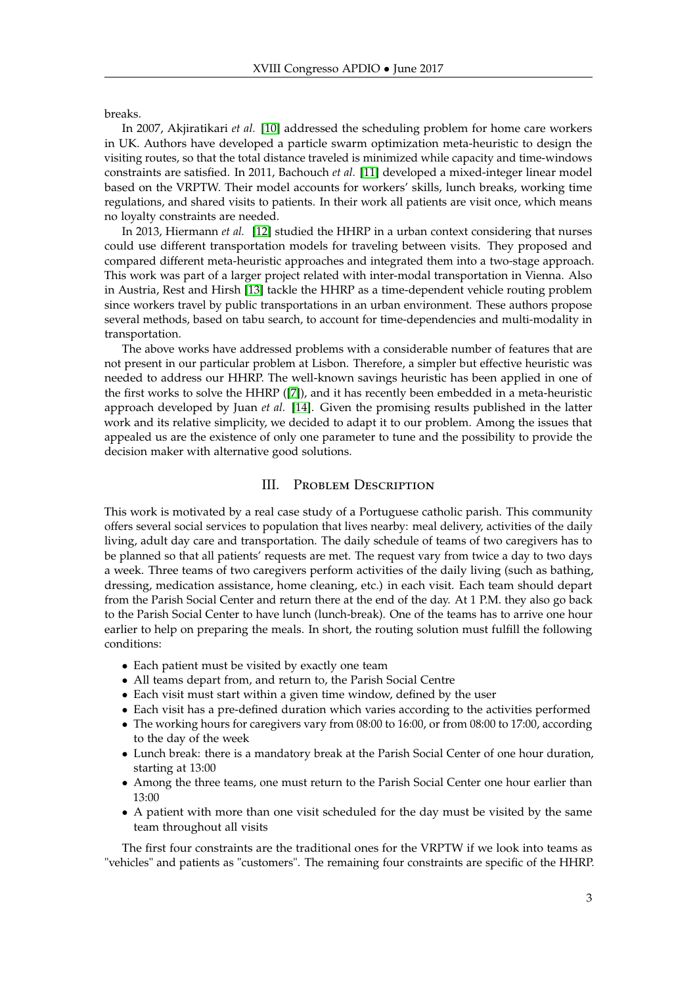breaks.

In 2007, Akjiratikari *et al.* [\[10\]](#page-8-9) addressed the scheduling problem for home care workers in UK. Authors have developed a particle swarm optimization meta-heuristic to design the visiting routes, so that the total distance traveled is minimized while capacity and time-windows constraints are satisfied. In 2011, Bachouch *et al.* [\[11\]](#page-9-0) developed a mixed-integer linear model based on the VRPTW. Their model accounts for workers' skills, lunch breaks, working time regulations, and shared visits to patients. In their work all patients are visit once, which means no loyalty constraints are needed.

In 2013, Hiermann *et al.* [\[12\]](#page-9-1) studied the HHRP in a urban context considering that nurses could use different transportation models for traveling between visits. They proposed and compared different meta-heuristic approaches and integrated them into a two-stage approach. This work was part of a larger project related with inter-modal transportation in Vienna. Also in Austria, Rest and Hirsh [\[13\]](#page-9-2) tackle the HHRP as a time-dependent vehicle routing problem since workers travel by public transportations in an urban environment. These authors propose several methods, based on tabu search, to account for time-dependencies and multi-modality in transportation.

The above works have addressed problems with a considerable number of features that are not present in our particular problem at Lisbon. Therefore, a simpler but effective heuristic was needed to address our HHRP. The well-known savings heuristic has been applied in one of the first works to solve the HHRP ([\[7\]](#page-8-6)), and it has recently been embedded in a meta-heuristic approach developed by Juan *et al.* [\[14\]](#page-9-3). Given the promising results published in the latter work and its relative simplicity, we decided to adapt it to our problem. Among the issues that appealed us are the existence of only one parameter to tune and the possibility to provide the decision maker with alternative good solutions.

# III. Problem Description

This work is motivated by a real case study of a Portuguese catholic parish. This community offers several social services to population that lives nearby: meal delivery, activities of the daily living, adult day care and transportation. The daily schedule of teams of two caregivers has to be planned so that all patients' requests are met. The request vary from twice a day to two days a week. Three teams of two caregivers perform activities of the daily living (such as bathing, dressing, medication assistance, home cleaning, etc.) in each visit. Each team should depart from the Parish Social Center and return there at the end of the day. At 1 P.M. they also go back to the Parish Social Center to have lunch (lunch-break). One of the teams has to arrive one hour earlier to help on preparing the meals. In short, the routing solution must fulfill the following conditions:

- Each patient must be visited by exactly one team
- All teams depart from, and return to, the Parish Social Centre
- Each visit must start within a given time window, defined by the user
- Each visit has a pre-defined duration which varies according to the activities performed
- The working hours for caregivers vary from 08:00 to 16:00, or from 08:00 to 17:00, according to the day of the week
- Lunch break: there is a mandatory break at the Parish Social Center of one hour duration, starting at 13:00
- Among the three teams, one must return to the Parish Social Center one hour earlier than 13:00
- A patient with more than one visit scheduled for the day must be visited by the same team throughout all visits

The first four constraints are the traditional ones for the VRPTW if we look into teams as "vehicles" and patients as "customers". The remaining four constraints are specific of the HHRP.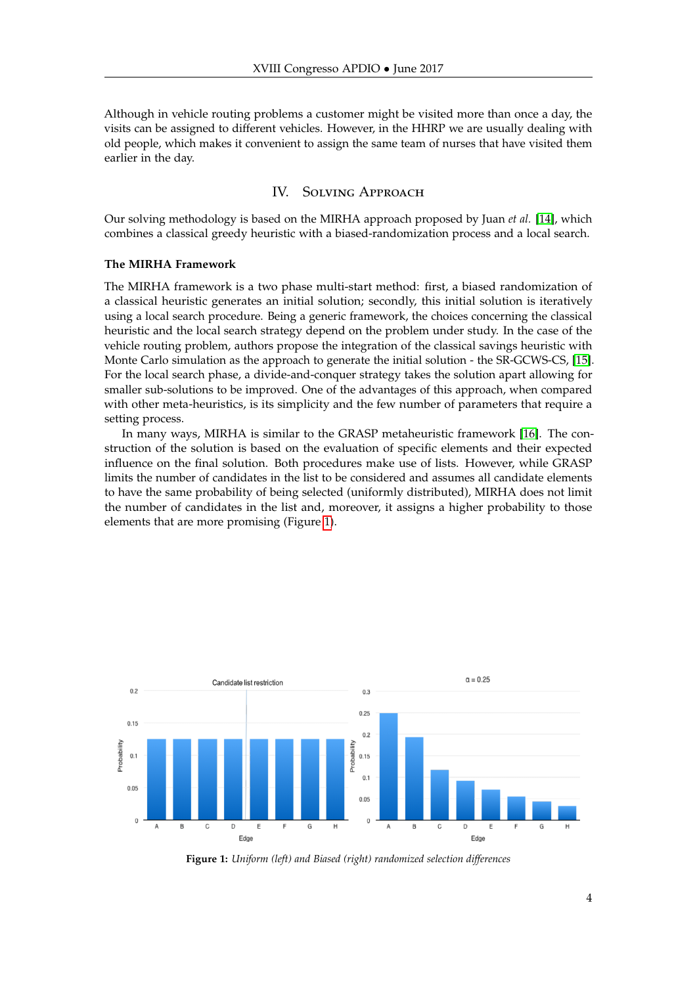Although in vehicle routing problems a customer might be visited more than once a day, the visits can be assigned to different vehicles. However, in the HHRP we are usually dealing with old people, which makes it convenient to assign the same team of nurses that have visited them earlier in the day.

# IV. Solving Approach

Our solving methodology is based on the MIRHA approach proposed by Juan *et al.* [\[14\]](#page-9-3), which combines a classical greedy heuristic with a biased-randomization process and a local search.

### **The MIRHA Framework**

The MIRHA framework is a two phase multi-start method: first, a biased randomization of a classical heuristic generates an initial solution; secondly, this initial solution is iteratively using a local search procedure. Being a generic framework, the choices concerning the classical heuristic and the local search strategy depend on the problem under study. In the case of the vehicle routing problem, authors propose the integration of the classical savings heuristic with Monte Carlo simulation as the approach to generate the initial solution - the SR-GCWS-CS, [\[15\]](#page-9-4). For the local search phase, a divide-and-conquer strategy takes the solution apart allowing for smaller sub-solutions to be improved. One of the advantages of this approach, when compared with other meta-heuristics, is its simplicity and the few number of parameters that require a setting process.

In many ways, MIRHA is similar to the GRASP metaheuristic framework [\[16\]](#page-9-5). The construction of the solution is based on the evaluation of specific elements and their expected influence on the final solution. Both procedures make use of lists. However, while GRASP limits the number of candidates in the list to be considered and assumes all candidate elements to have the same probability of being selected (uniformly distributed), MIRHA does not limit the number of candidates in the list and, moreover, it assigns a higher probability to those elements that are more promising (Figure [1\)](#page-3-0).

<span id="page-3-0"></span>

**Figure 1:** *Uniform (left) and Biased (right) randomized selection differences*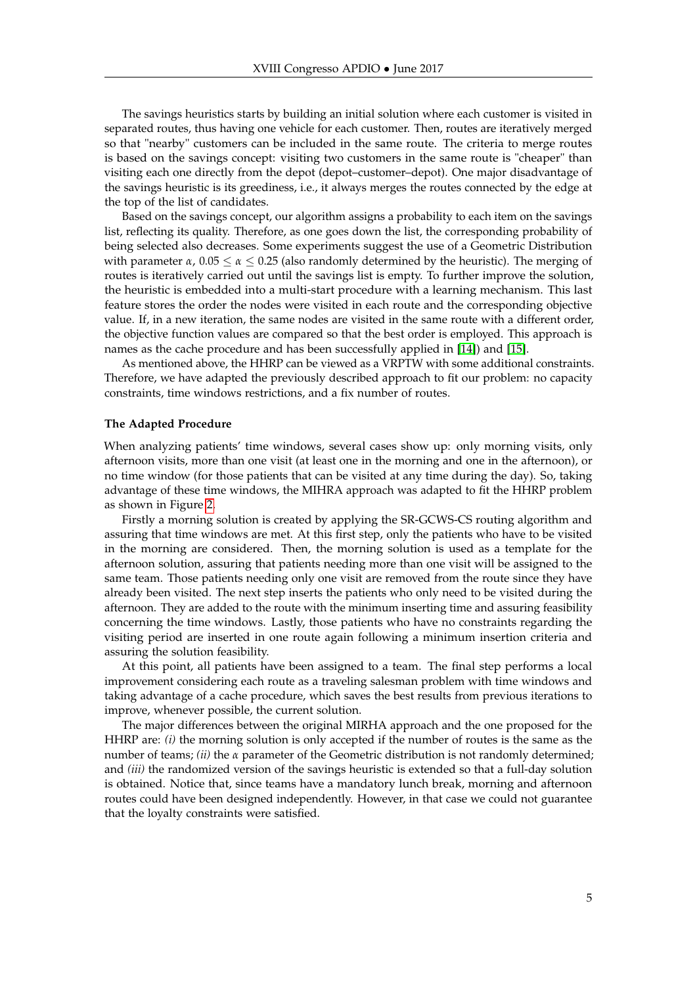The savings heuristics starts by building an initial solution where each customer is visited in separated routes, thus having one vehicle for each customer. Then, routes are iteratively merged so that "nearby" customers can be included in the same route. The criteria to merge routes is based on the savings concept: visiting two customers in the same route is "cheaper" than visiting each one directly from the depot (depot–customer–depot). One major disadvantage of the savings heuristic is its greediness, i.e., it always merges the routes connected by the edge at the top of the list of candidates.

Based on the savings concept, our algorithm assigns a probability to each item on the savings list, reflecting its quality. Therefore, as one goes down the list, the corresponding probability of being selected also decreases. Some experiments suggest the use of a Geometric Distribution with parameter  $\alpha$ ,  $0.05 \le \alpha \le 0.25$  (also randomly determined by the heuristic). The merging of routes is iteratively carried out until the savings list is empty. To further improve the solution, the heuristic is embedded into a multi-start procedure with a learning mechanism. This last feature stores the order the nodes were visited in each route and the corresponding objective value. If, in a new iteration, the same nodes are visited in the same route with a different order, the objective function values are compared so that the best order is employed. This approach is names as the cache procedure and has been successfully applied in [\[14\]](#page-9-3)) and [\[15\]](#page-9-4).

As mentioned above, the HHRP can be viewed as a VRPTW with some additional constraints. Therefore, we have adapted the previously described approach to fit our problem: no capacity constraints, time windows restrictions, and a fix number of routes.

### **The Adapted Procedure**

When analyzing patients' time windows, several cases show up: only morning visits, only afternoon visits, more than one visit (at least one in the morning and one in the afternoon), or no time window (for those patients that can be visited at any time during the day). So, taking advantage of these time windows, the MIHRA approach was adapted to fit the HHRP problem as shown in Figure [2.](#page-5-0)

Firstly a morning solution is created by applying the SR-GCWS-CS routing algorithm and assuring that time windows are met. At this first step, only the patients who have to be visited in the morning are considered. Then, the morning solution is used as a template for the afternoon solution, assuring that patients needing more than one visit will be assigned to the same team. Those patients needing only one visit are removed from the route since they have already been visited. The next step inserts the patients who only need to be visited during the afternoon. They are added to the route with the minimum inserting time and assuring feasibility concerning the time windows. Lastly, those patients who have no constraints regarding the visiting period are inserted in one route again following a minimum insertion criteria and assuring the solution feasibility.

At this point, all patients have been assigned to a team. The final step performs a local improvement considering each route as a traveling salesman problem with time windows and taking advantage of a cache procedure, which saves the best results from previous iterations to improve, whenever possible, the current solution.

The major differences between the original MIRHA approach and the one proposed for the HHRP are: *(i)* the morning solution is only accepted if the number of routes is the same as the number of teams; *(ii)* the *α* parameter of the Geometric distribution is not randomly determined; and *(iii)* the randomized version of the savings heuristic is extended so that a full-day solution is obtained. Notice that, since teams have a mandatory lunch break, morning and afternoon routes could have been designed independently. However, in that case we could not guarantee that the loyalty constraints were satisfied.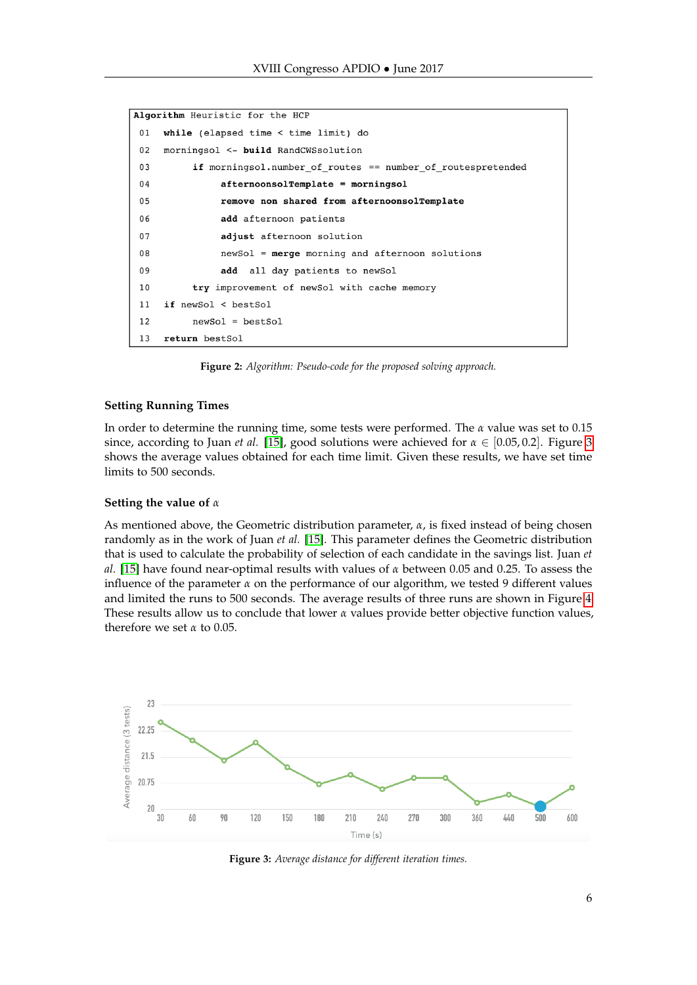```
Algorithm Heuristic for the HCP
 01while (elapsed time < time limit) do
0<sub>2</sub>morningsol <- build RandCWSsolution
 0<sub>3</sub>if morningsol.number_of_routes == number_of_routespretended
 0<sub>4</sub>afternoonsolTemplate = morningsol
 0<sup>5</sup>remove non shared from afternoonsolTemplate
 06
                 add afternoon patients
 07adjust afternoon solution
 0.8newSol = merge morning and afternoon solutions
 09add
                     all day patients to newSol
 10try improvement of newSol with cache memory
 11if newSol < bestSol
 12newSol = bestSol13return bestSol
```
**Figure 2:** *Algorithm: Pseudo-code for the proposed solving approach.*

#### **Setting Running Times**

In order to determine the running time, some tests were performed. The *α* value was set to 0.15 since, according to Juan *et al.* [\[15\]](#page-9-4), good solutions were achieved for  $\alpha \in [0.05, 0.2]$ . Figure [3](#page-5-1) shows the average values obtained for each time limit. Given these results, we have set time limits to 500 seconds.

#### **Setting the value of** *α*

As mentioned above, the Geometric distribution parameter, *α*, is fixed instead of being chosen randomly as in the work of Juan *et al.* [\[15\]](#page-9-4). This parameter defines the Geometric distribution that is used to calculate the probability of selection of each candidate in the savings list. Juan *et al.* [\[15\]](#page-9-4) have found near-optimal results with values of *α* between 0.05 and 0.25. To assess the influence of the parameter  $\alpha$  on the performance of our algorithm, we tested 9 different values and limited the runs to 500 seconds. The average results of three runs are shown in Figure [4.](#page-6-0) These results allow us to conclude that lower  $\alpha$  values provide better objective function values, therefore we set *α* to 0.05.

<span id="page-5-1"></span>

**Figure 3:** *Average distance for different iteration times.*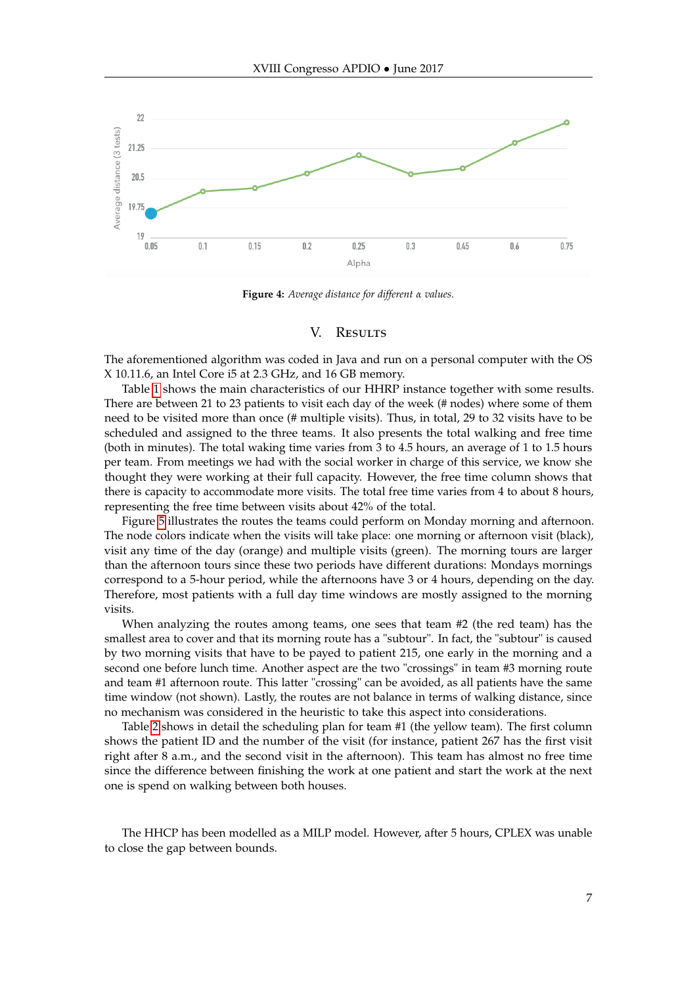<span id="page-6-0"></span>

**Figure 4:** *Average distance for different α values.*

# V. RESULTS

The aforementioned algorithm was coded in Java and run on a personal computer with the OS X 10.11.6, an Intel Core i5 at 2.3 GHz, and 16 GB memory.

Table [1](#page-7-0) shows the main characteristics of our HHRP instance together with some results. There are between 21 to 23 patients to visit each day of the week (# nodes) where some of them need to be visited more than once (# multiple visits). Thus, in total, 29 to 32 visits have to be scheduled and assigned to the three teams. It also presents the total walking and free time (both in minutes). The total waking time varies from 3 to 4.5 hours, an average of 1 to 1.5 hours per team. From meetings we had with the social worker in charge of this service, we know she thought they were working at their full capacity. However, the free time column shows that there is capacity to accommodate more visits. The total free time varies from 4 to about 8 hours, representing the free time between visits about 42% of the total.

Figure [5](#page-7-1) illustrates the routes the teams could perform on Monday morning and afternoon. The node colors indicate when the visits will take place: one morning or afternoon visit (black), visit any time of the day (orange) and multiple visits (green). The morning tours are larger than the afternoon tours since these two periods have different durations: Mondays mornings correspond to a 5-hour period, while the afternoons have 3 or 4 hours, depending on the day. Therefore, most patients with a full day time windows are mostly assigned to the morning visits.

When analyzing the routes among teams, one sees that team #2 (the red team) has the smallest area to cover and that its morning route has a "subtour". In fact, the "subtour" is caused by two morning visits that have to be payed to patient 215, one early in the morning and a second one before lunch time. Another aspect are the two "crossings" in team #3 morning route and team #1 afternoon route. This latter "crossing" can be avoided, as all patients have the same time window (not shown). Lastly, the routes are not balance in terms of walking distance, since no mechanism was considered in the heuristic to take this aspect into considerations.

Table [2](#page-7-2) shows in detail the scheduling plan for team #1 (the yellow team). The first column shows the patient ID and the number of the visit (for instance, patient 267 has the first visit right after 8 a.m., and the second visit in the afternoon). This team has almost no free time since the difference between finishing the work at one patient and start the work at the next one is spend on walking between both houses.

The HHCP has been modelled as a MILP model. However, after 5 hours, CPLEX was unable to close the gap between bounds.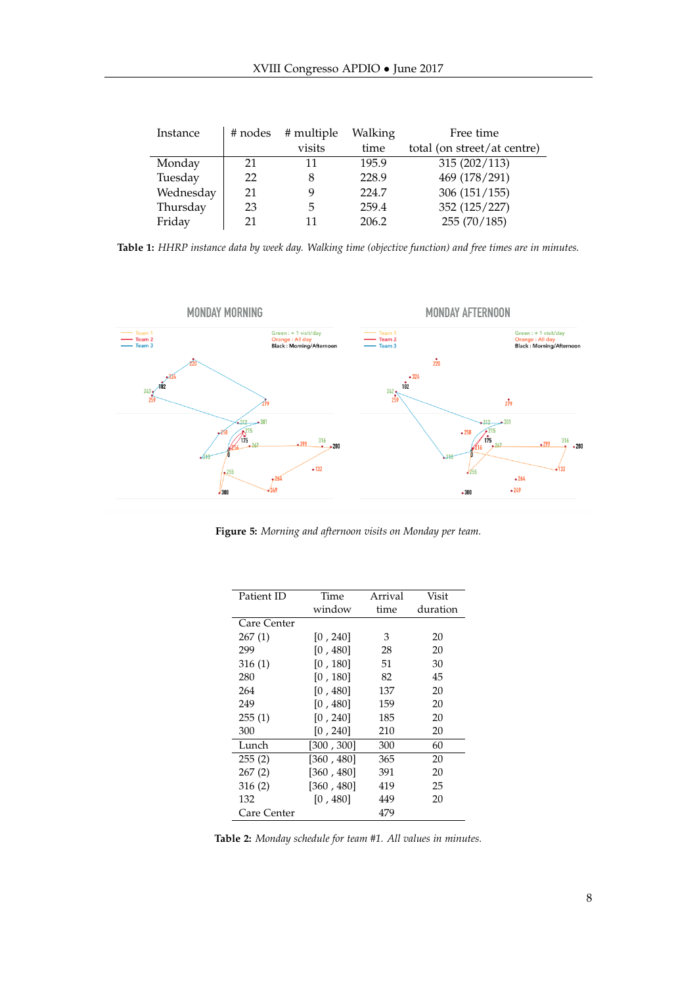<span id="page-7-0"></span>

| Instance  | # nodes | # multiple | Walking | Free time                   |
|-----------|---------|------------|---------|-----------------------------|
|           |         | visits     | time    | total (on street/at centre) |
| Monday    | 21      | 11         | 195.9   | 315(202/113)                |
| Tuesday   | 22      | 8          | 228.9   | 469 (178/291)               |
| Wednesday | 21      | 9          | 224.7   | 306(151/155)                |
| Thursday  | 23      | 5          | 259.4   | 352 (125/227)               |
| Friday    | 21      | 11         | 206.2   | 255(70/185)                 |

**Table 1:** *HHRP instance data by week day. Walking time (objective function) and free times are in minutes.*

<span id="page-7-1"></span>

<span id="page-7-2"></span>**Figure 5:** *Morning and afternoon visits on Monday per team.*

| Patient ID  | Time       | Arrival | Visit    |
|-------------|------------|---------|----------|
|             | window     | time    | duration |
| Care Center |            |         |          |
| 267(1)      | [0, 240]   | 3       | 20       |
| 299         | [0, 480]   | 28      | 20       |
| 316(1)      | [0, 180]   | 51      | 30       |
| 280         | [0, 180]   | 82      | 45       |
| 264         | [0, 480]   | 137     | 20       |
| 249         | [0, 480]   | 159     | 20       |
| 255(1)      | [0, 240]   | 185     | 20       |
| 300         | [0, 240]   | 210     | 20       |
| Lunch       | [300, 300] | 300     | 60       |
| 255(2)      | [360, 480] | 365     | 20       |
| 267(2)      | [360, 480] | 391     | 20       |
| 316 (2)     | [360, 480] | 419     | 25       |
| 132         | [0, 480]   | 449     | 20       |
| Care Center |            | 479     |          |

**Table 2:** *Monday schedule for team #1. All values in minutes.*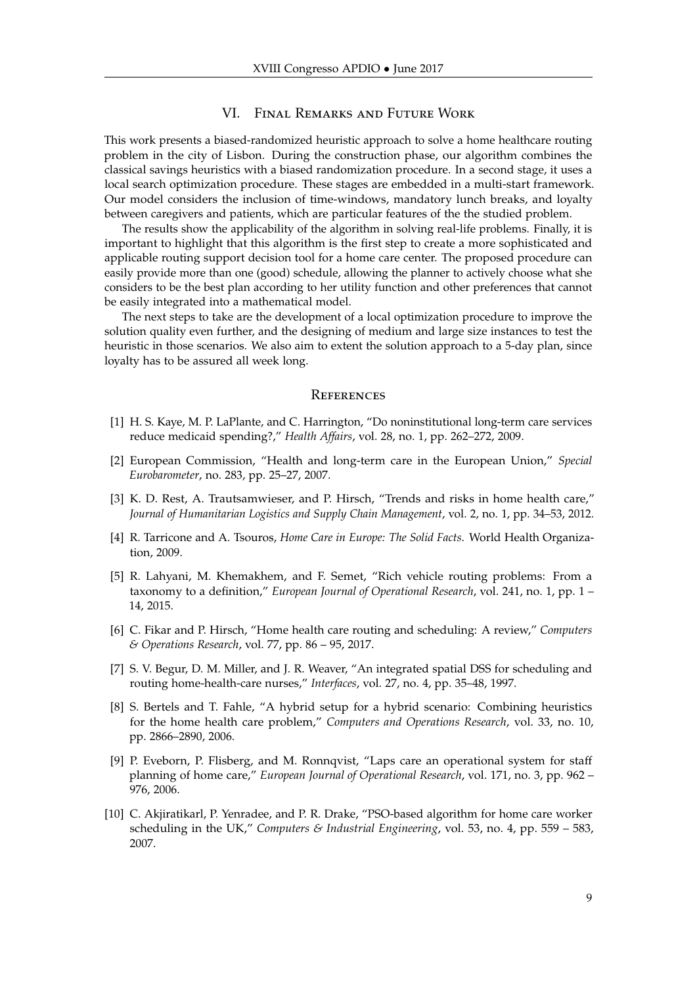## VI. Final Remarks and Future Work

This work presents a biased-randomized heuristic approach to solve a home healthcare routing problem in the city of Lisbon. During the construction phase, our algorithm combines the classical savings heuristics with a biased randomization procedure. In a second stage, it uses a local search optimization procedure. These stages are embedded in a multi-start framework. Our model considers the inclusion of time-windows, mandatory lunch breaks, and loyalty between caregivers and patients, which are particular features of the the studied problem.

The results show the applicability of the algorithm in solving real-life problems. Finally, it is important to highlight that this algorithm is the first step to create a more sophisticated and applicable routing support decision tool for a home care center. The proposed procedure can easily provide more than one (good) schedule, allowing the planner to actively choose what she considers to be the best plan according to her utility function and other preferences that cannot be easily integrated into a mathematical model.

The next steps to take are the development of a local optimization procedure to improve the solution quality even further, and the designing of medium and large size instances to test the heuristic in those scenarios. We also aim to extent the solution approach to a 5-day plan, since loyalty has to be assured all week long.

#### **REFERENCES**

- <span id="page-8-0"></span>[1] H. S. Kaye, M. P. LaPlante, and C. Harrington, "Do noninstitutional long-term care services reduce medicaid spending?," *Health Affairs*, vol. 28, no. 1, pp. 262–272, 2009.
- <span id="page-8-1"></span>[2] European Commission, "Health and long-term care in the European Union," *Special Eurobarometer*, no. 283, pp. 25–27, 2007.
- <span id="page-8-2"></span>[3] K. D. Rest, A. Trautsamwieser, and P. Hirsch, "Trends and risks in home health care," *Journal of Humanitarian Logistics and Supply Chain Management*, vol. 2, no. 1, pp. 34–53, 2012.
- <span id="page-8-3"></span>[4] R. Tarricone and A. Tsouros, *Home Care in Europe: The Solid Facts*. World Health Organization, 2009.
- <span id="page-8-4"></span>[5] R. Lahyani, M. Khemakhem, and F. Semet, "Rich vehicle routing problems: From a taxonomy to a definition," *European Journal of Operational Research*, vol. 241, no. 1, pp. 1 – 14, 2015.
- <span id="page-8-5"></span>[6] C. Fikar and P. Hirsch, "Home health care routing and scheduling: A review," *Computers & Operations Research*, vol. 77, pp. 86 – 95, 2017.
- <span id="page-8-6"></span>[7] S. V. Begur, D. M. Miller, and J. R. Weaver, "An integrated spatial DSS for scheduling and routing home-health-care nurses," *Interfaces*, vol. 27, no. 4, pp. 35–48, 1997.
- <span id="page-8-7"></span>[8] S. Bertels and T. Fahle, "A hybrid setup for a hybrid scenario: Combining heuristics for the home health care problem," *Computers and Operations Research*, vol. 33, no. 10, pp. 2866–2890, 2006.
- <span id="page-8-8"></span>[9] P. Eveborn, P. Flisberg, and M. Ronnqvist, "Laps care an operational system for staff planning of home care," *European Journal of Operational Research*, vol. 171, no. 3, pp. 962 – 976, 2006.
- <span id="page-8-9"></span>[10] C. Akjiratikarl, P. Yenradee, and P. R. Drake, "PSO-based algorithm for home care worker scheduling in the UK," *Computers & Industrial Engineering*, vol. 53, no. 4, pp. 559 – 583, 2007.